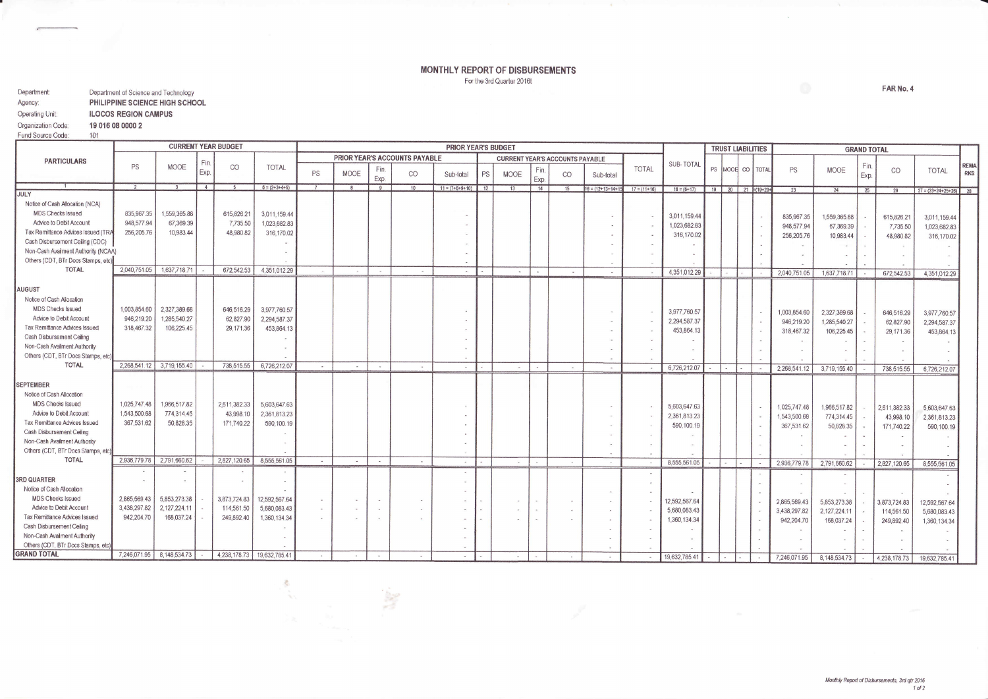## MONTHLY REPORT OF DISBURSEMENTS For the 3rd Quarter 2016t

 $\sim$ 

| Department:            | Department of Science and Technology |  |  |  |  |  |  |
|------------------------|--------------------------------------|--|--|--|--|--|--|
| Agency:                | PHILIPPINE SCIENCE HIGH SCHOOL       |  |  |  |  |  |  |
| <b>Operating Unit:</b> | <b>ILOCOS REGION CAMPUS</b>          |  |  |  |  |  |  |
| Organization Code:     | 19 016 08 0000 2                     |  |  |  |  |  |  |
| Fund Source Code:      | 1 <sub>01</sub>                      |  |  |  |  |  |  |

|                                                          |                           |                           |                | <b>CURRENT YEAR BUDGET</b> |                 | <b>PRIOR YEAR'S BUDGET</b> |                                                                         |                            |        |                   |    | <b>TRUST LIABILITIES</b> |             | <b>GRAND TOTAL</b> |                   |                  |                 |  |                                    |              |              |             |                          |                               |                           |
|----------------------------------------------------------|---------------------------|---------------------------|----------------|----------------------------|-----------------|----------------------------|-------------------------------------------------------------------------|----------------------------|--------|-------------------|----|--------------------------|-------------|--------------------|-------------------|------------------|-----------------|--|------------------------------------|--------------|--------------|-------------|--------------------------|-------------------------------|---------------------------|
| <b>PARTICULARS</b>                                       |                           |                           |                | CO                         | <b>TOTAL</b>    |                            | PRIOR YEAR'S ACCOUNTS PAYABLE<br><b>CURRENT YEAR'S ACCOUNTS PAYABLE</b> |                            |        |                   |    |                          |             |                    |                   |                  |                 |  |                                    |              |              |             |                          |                               |                           |
|                                                          | PS                        | <b>MOOE</b>               | Fin.<br>Exp.   |                            |                 | PS                         | <b>MOOE</b>                                                             | Fin.<br>Exp.               | CO     | Sub-total         | PS | <b>MOOE</b>              | Fin<br>Exp. | CO                 | Sub-total         | <b>TOTAL</b>     | SUB-TOTAL       |  | PS MOOR CO   TOTAL                 | PS           | <b>MOOE</b>  | Fin<br>Exp. | CO                       | TOTAL                         | <b>REMA</b><br><b>RKS</b> |
|                                                          |                           |                           | $\overline{4}$ |                            | $6 = (2+3+4+5)$ |                            |                                                                         | 9                          |        | $11 = (7+8+9+10)$ | 12 | 13                       | 14          | 15                 | $16 = (12+13+14)$ | $17 = (11 + 16)$ | $18 = (6 + 17)$ |  | $19$ $20$ $21$ $\approx$ $(19+20+$ | 23           | 24           | 25          |                          | $27 = (23 + 24 + 25 + 26)$ 28 |                           |
| <b>JULY</b>                                              |                           |                           |                |                            |                 |                            |                                                                         |                            |        |                   |    |                          |             |                    |                   |                  |                 |  |                                    |              |              |             |                          |                               |                           |
| Notice of Cash Allocation (NCA)                          |                           |                           |                |                            |                 |                            |                                                                         |                            |        |                   |    |                          |             |                    |                   |                  |                 |  |                                    |              |              |             |                          |                               |                           |
| <b>MDS Checks Issued</b>                                 | 835,967.35                | 1,559,365.88              |                | 615,826.21                 | 3,011,159.44    |                            |                                                                         |                            |        |                   |    |                          |             |                    |                   | $\sim$           | 3,011,159.44    |  |                                    | 835,967.35   | 1,559,365.88 |             | 615,826.21               | 3,011,159.44                  |                           |
| Advice to Debit Account                                  | 948,577.94                | 67,369.39                 |                | 7,735.50                   | 1,023,682.83    |                            |                                                                         |                            |        |                   |    |                          |             |                    |                   |                  | 1,023,682.83    |  |                                    | 948,577.94   | 67,369.39    |             | 7,735.50                 | 1,023,682.83                  |                           |
| Tax Remittance Advices Issued (TRA                       | 256,205.76                | 10,983.44                 |                | 48,980.82                  | 316,170.02      |                            |                                                                         |                            |        |                   |    |                          |             |                    |                   |                  | 316,170.02      |  |                                    | 256,205.76   | 10,983.44    |             | 48,980.82                | 316,170.02                    |                           |
| Cash Disbursement Celling (CDC)                          |                           |                           |                |                            |                 |                            |                                                                         |                            |        |                   |    |                          |             |                    |                   |                  |                 |  |                                    |              |              |             |                          |                               |                           |
| Non-Cash Availment Authority (NCAA)                      |                           |                           |                |                            |                 |                            |                                                                         |                            |        |                   |    |                          |             |                    |                   |                  |                 |  |                                    |              |              |             |                          |                               |                           |
| Others (CDT, BTr Docs Stamps, etc)<br><b>TOTAL</b>       |                           |                           |                |                            |                 |                            |                                                                         |                            |        |                   |    |                          |             |                    |                   |                  |                 |  |                                    |              |              |             |                          |                               |                           |
|                                                          | 2.040.751.05              | 1,637,718.71              |                | 672.542.53                 | 4,351,012.29    |                            | $\sim$                                                                  | $\sim$                     | $\sim$ | $\sim$            |    | $\sim$                   |             | $\sim$             |                   | $\sim$           | 4,351,012.29    |  |                                    | 2.040.751.05 | 1,637,718.71 |             | 672,542.53               | 4,351,012.29                  |                           |
|                                                          |                           |                           |                |                            |                 |                            |                                                                         |                            |        |                   |    |                          |             |                    |                   |                  |                 |  |                                    |              |              |             |                          |                               |                           |
| <b>AUGUST</b>                                            |                           |                           |                |                            |                 |                            |                                                                         |                            |        |                   |    |                          |             |                    |                   |                  |                 |  |                                    |              |              |             |                          |                               |                           |
| Notice of Cash Allocation                                |                           |                           |                |                            |                 |                            |                                                                         |                            |        |                   |    |                          |             |                    |                   |                  |                 |  |                                    |              |              |             |                          |                               |                           |
| <b>MDS Checks Issued</b>                                 | 1,003,854.60              | 2,327,389.68              |                | 646,516.29                 | 3,977,760,57    |                            |                                                                         |                            |        |                   |    |                          |             |                    |                   | $\sim$           | 3,977,760.57    |  |                                    | 1,003,854.60 | 2,327,389.68 |             | 646,516.29               | 3,977,760.57                  |                           |
| Advice to Debit Account<br>Tax Remittance Advices Issued | 946,219.20                | 1,285,540.27              |                | 62,827.90                  | 2,294,587.37    |                            |                                                                         |                            |        |                   |    |                          |             |                    |                   |                  | 2,294,587.37    |  |                                    | 946,219.20   | 1,285,540.27 |             | 62.827.90                | 2,294,587.37                  |                           |
| Cash Disbursement Celling                                | 318,467.32                | 106,225.45                |                | 29,171.36                  | 453,864.13      |                            |                                                                         |                            |        |                   |    |                          |             |                    |                   |                  | 453,864.13      |  |                                    | 318,467.32   | 106,225.45   |             | 29, 171.36               | 453,864.13                    |                           |
| Non-Cash Availment Authority                             |                           |                           |                |                            |                 |                            |                                                                         |                            |        |                   |    |                          |             |                    |                   |                  |                 |  |                                    |              |              |             |                          |                               |                           |
| Others (CDT, BTr Docs Stamps, etc)                       |                           |                           |                |                            |                 |                            |                                                                         |                            |        |                   |    |                          |             |                    |                   |                  |                 |  |                                    |              |              |             |                          |                               |                           |
| <b>TOTAL</b>                                             |                           | 2,268,541.12 3,719,155.40 |                | 738,515.55                 | 6,726,212.07    | $\sim$                     | $\sim$                                                                  |                            |        |                   |    |                          |             |                    |                   |                  |                 |  |                                    |              |              |             |                          |                               |                           |
|                                                          |                           |                           |                |                            |                 |                            |                                                                         | $\sim$                     | $\sim$ | $\sim$            |    | $\sim$                   | $\sim$      | $\sim$             | $\sim$            | $\sim$           | 6,726,212.07    |  |                                    | 2,268,541.12 | 3,719,155.40 |             | 738,515.55               | 6,726,212.07                  |                           |
| <b>SEPTEMBER</b>                                         |                           |                           |                |                            |                 |                            |                                                                         |                            |        |                   |    |                          |             |                    |                   |                  |                 |  |                                    |              |              |             |                          |                               |                           |
| Notice of Cash Allocation                                |                           |                           |                |                            |                 |                            |                                                                         |                            |        |                   |    |                          |             |                    |                   |                  |                 |  |                                    |              |              |             |                          |                               |                           |
| <b>MDS Checks Issued</b>                                 | 1,025,747,48              | 1,966,517.82              |                | 2.611.382.33               | 5,603,647.63    |                            |                                                                         |                            |        |                   |    |                          |             |                    |                   |                  |                 |  |                                    |              |              |             |                          |                               |                           |
| Advice to Debit Account                                  | 1,543,500.68              | 774,314.45                |                | 43,998.10                  | 2,361,813.23    |                            |                                                                         |                            |        |                   |    |                          |             |                    |                   | $\sim$           | 5,603,647.63    |  |                                    | 1.025.747.48 | 1,966,517.82 |             | 2,611,382.33             | 5,603,647.63                  |                           |
| <b>Tax Remittance Advices Issued</b>                     | 367,531.62                | 50,828.35                 |                | 171,740.22                 | 590,100.19      |                            |                                                                         |                            |        |                   |    |                          |             |                    |                   |                  | 2.361.813.23    |  |                                    | 1.543.500.68 | 774,314.45   |             | 43,998.10                | 2,361,813.23                  |                           |
| Cash Disbursement Ceiling                                |                           |                           |                |                            |                 |                            |                                                                         |                            |        |                   |    |                          |             |                    |                   |                  | 590,100.19      |  |                                    | 367,531.62   | 50,828.35    |             | 171,740.22               | 590,100.19                    |                           |
| Non-Cash Availment Authority                             |                           |                           |                |                            |                 |                            |                                                                         |                            |        |                   |    |                          |             |                    |                   |                  |                 |  |                                    |              |              |             |                          |                               |                           |
| Others (CDT, BTr Docs Stamps, etc)                       |                           |                           |                |                            |                 |                            |                                                                         |                            |        |                   |    |                          |             |                    |                   |                  |                 |  |                                    |              |              |             |                          |                               |                           |
| <b>TOTAL</b>                                             |                           | 2,936,779.78 2,791,660.62 |                | 2,827,120.65               | 8,555,561.05    | $\sim$                     | $\sim$                                                                  | $\sim$                     | $\sim$ |                   |    |                          |             |                    | $\sim$            | $\sim$           | 8,555,561.05    |  |                                    | 2,936,779.78 | 2,791,660.62 |             | 2.827.120.65             | 8,555,561.05                  |                           |
|                                                          |                           |                           |                |                            |                 |                            |                                                                         |                            |        |                   |    |                          |             |                    |                   |                  |                 |  |                                    |              |              |             |                          |                               |                           |
| <b>3RD QUARTER</b>                                       |                           |                           |                |                            |                 |                            |                                                                         |                            |        |                   |    |                          |             |                    |                   |                  |                 |  |                                    |              |              |             |                          |                               |                           |
| Notice of Cash Allocation                                |                           |                           |                |                            |                 |                            |                                                                         |                            |        |                   |    |                          |             |                    |                   |                  |                 |  |                                    |              |              |             |                          |                               |                           |
| <b>MDS Checks Issued</b>                                 | 2,865,569.43              | 5,853,273.38              |                | 3,873,724.83               | 12,592,567.64   |                            |                                                                         |                            |        |                   |    |                          |             |                    |                   |                  | 12,592,567.64   |  |                                    | 2.865.569.43 | 5,853,273.38 |             |                          |                               |                           |
| Advice to Debit Account                                  | 3,438,297.82              | 2,127,224.11              |                | 114,561.50                 | 5,680,083.43    |                            |                                                                         | C.                         |        |                   |    |                          |             |                    |                   |                  | 5,680,083.43    |  |                                    | 3,438,297.82 | 2,127,224.11 |             | 3,873,724.83             | 12,592,567.64                 |                           |
| Tax Remittance Advices Issued                            | 942.204.70                | 168,037.24                |                | 249,892.40                 | 1,360,134.34    |                            |                                                                         |                            |        |                   |    |                          |             |                    |                   |                  | 1,360,134.34    |  |                                    | 942.204.70   | 168,037.24   |             | 114,561.50<br>249,892.40 | 5,680,083.43<br>1,360,134.34  |                           |
| Cash Disbursement Celling                                |                           |                           |                |                            |                 |                            |                                                                         |                            |        |                   |    |                          |             |                    |                   |                  |                 |  |                                    |              |              |             |                          |                               |                           |
| Non-Cash Availment Authority                             |                           |                           |                |                            |                 |                            |                                                                         |                            |        |                   |    |                          |             |                    |                   |                  |                 |  |                                    |              |              |             |                          |                               |                           |
| Others (CDT, BTr Docs Stamps, etc                        |                           |                           |                |                            |                 |                            |                                                                         |                            |        |                   |    |                          |             |                    |                   |                  |                 |  |                                    |              |              |             |                          |                               |                           |
| <b>GRAND TOTAL</b>                                       | 7,246,071.95 8,148,534.73 |                           |                | 4,238,178.73 19,632,785.41 |                 | $\sim$                     | $\sim$                                                                  | $\mathcal{L}_{\text{int}}$ | $\sim$ |                   |    |                          |             |                    |                   |                  | 19,632,785.41   |  |                                    | 7,246,071.95 | 8,148,534.73 |             | 4,238,178.73             | 19,632.785.41                 |                           |
|                                                          |                           |                           |                |                            |                 |                            |                                                                         |                            |        |                   |    |                          |             |                    |                   |                  |                 |  |                                    |              |              |             |                          |                               |                           |

FAR No. 4

 $\sim$